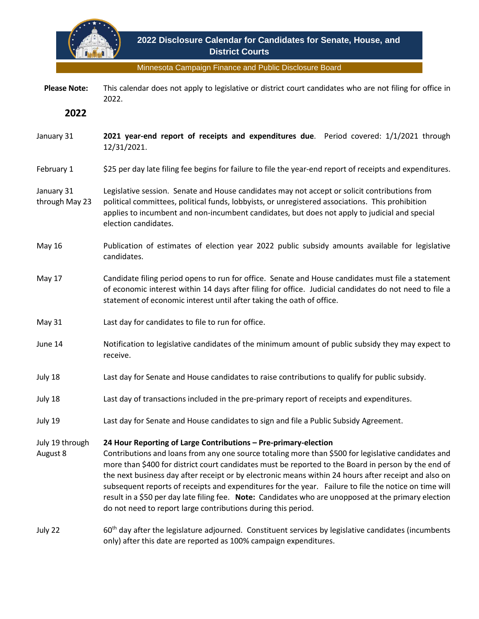

Minnesota Campaign Finance and Public Disclosure Board

 **Please Note:** This calendar does not apply to legislative or district court candidates who are not filing for office in 2022.

**2022**

- January 31 **2021 year-end report of receipts and expenditures due**. Period covered: 1/1/2021 through 12/31/2021.
- February 1 \$25 per day late filing fee begins for failure to file the year-end report of receipts and expenditures.

## January 31 through May 23 Legislative session. Senate and House candidates may not accept or solicit contributions from political committees, political funds, lobbyists, or unregistered associations. This prohibition applies to incumbent and non-incumbent candidates, but does not apply to judicial and special election candidates.

- May 16 Publication of estimates of election year 2022 public subsidy amounts available for legislative candidates.
- May 17 Candidate filing period opens to run for office. Senate and House candidates must file a statement of economic interest within 14 days after filing for office. Judicial candidates do not need to file a statement of economic interest until after taking the oath of office.
- May 31 Last day for candidates to file to run for office.
- June 14 Notification to legislative candidates of the minimum amount of public subsidy they may expect to receive.
- July 18 Last day for Senate and House candidates to raise contributions to qualify for public subsidy.
- July 18 Last day of transactions included in the pre-primary report of receipts and expenditures.
- July 19 Last day for Senate and House candidates to sign and file a Public Subsidy Agreement.

July 19 through **24 Hour Reporting of Large Contributions – Pre-primary-election**

August 8 Contributions and loans from any one source totaling more than \$500 for legislative candidates and more than \$400 for district court candidates must be reported to the Board in person by the end of the next business day after receipt or by electronic means within 24 hours after receipt and also on subsequent reports of receipts and expenditures for the year. Failure to file the notice on time will result in a \$50 per day late filing fee. **Note:** Candidates who are unopposed at the primary election do not need to report large contributions during this period.

July 22 60th day after the legislature adjourned. Constituent services by legislative candidates (incumbents only) after this date are reported as 100% campaign expenditures.